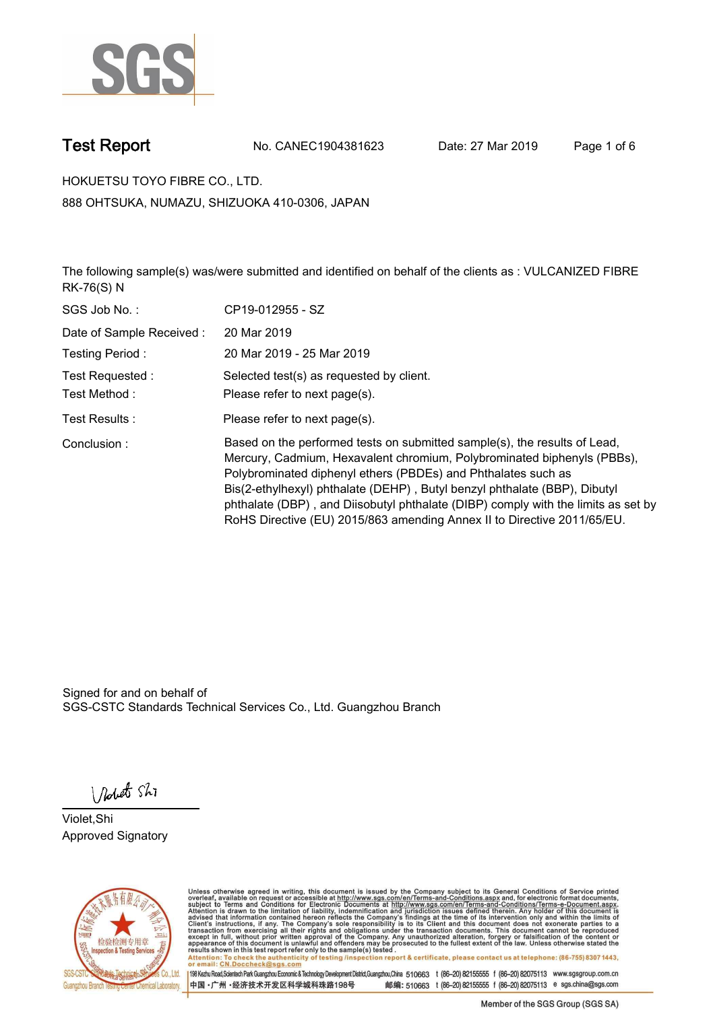

**Test Report. No. CANEC1904381623 Date: 27 Mar 2019. Page 1 of 6.**

**HOKUETSU TOYO FIBRE CO., LTD.. 888 OHTSUKA, NUMAZU, SHIZUOKA 410-0306, JAPAN**

**The following sample(s) was/were submitted and identified on behalf of the clients as : VULCANIZED FIBRE RK-76(S) N.**

| SGS Job No.:             | CP19-012955 - SZ                                                                                                                                                                                                                                                                                                                                                                                                                                                   |
|--------------------------|--------------------------------------------------------------------------------------------------------------------------------------------------------------------------------------------------------------------------------------------------------------------------------------------------------------------------------------------------------------------------------------------------------------------------------------------------------------------|
| Date of Sample Received: | 20 Mar 2019                                                                                                                                                                                                                                                                                                                                                                                                                                                        |
| Testing Period:          | 20 Mar 2019 - 25 Mar 2019                                                                                                                                                                                                                                                                                                                                                                                                                                          |
| Test Requested:          | Selected test(s) as requested by client.                                                                                                                                                                                                                                                                                                                                                                                                                           |
| Test Method:             | Please refer to next page(s).                                                                                                                                                                                                                                                                                                                                                                                                                                      |
| Test Results :           | Please refer to next page(s).                                                                                                                                                                                                                                                                                                                                                                                                                                      |
| Conclusion:              | Based on the performed tests on submitted sample(s), the results of Lead,<br>Mercury, Cadmium, Hexavalent chromium, Polybrominated biphenyls (PBBs),<br>Polybrominated diphenyl ethers (PBDEs) and Phthalates such as<br>Bis(2-ethylhexyl) phthalate (DEHP), Butyl benzyl phthalate (BBP), Dibutyl<br>phthalate (DBP), and Diisobutyl phthalate (DIBP) comply with the limits as set by<br>RoHS Directive (EU) 2015/863 amending Annex II to Directive 2011/65/EU. |

Signed for and on behalf of SGS-CSTC Standards Technical Services Co., Ltd. Guangzhou Branch.

Nobet Shi

**Violet,Shi. Approved Signatory.**



Unless otherwise agreed in writing, this document is issued by the Company subject to its General Conditions of Service printed overleaf, available on request or accessible at http://www.sgs.com/en/Terms-and-Conditions.asp Attention: To check the authenticity of testing /inspection report & certificate, please contact us at telephone: (86-755) 8307 1443,<br>or email: CN.Doccheck@sgs.com

198 Kezhu Road,Scientech Park Guangzhou Economic & Technology Development District,Guangzhou,China 510663 t (86-20) 82155555 f (86-20) 82075113 www.sgsgroup.com.cn 中国·广州·经济技术开发区科学城科珠路198号 邮编: 510663 t (86-20) 82155555 f (86-20) 82075113 e sgs.china@sgs.com

Member of the SGS Group (SGS SA)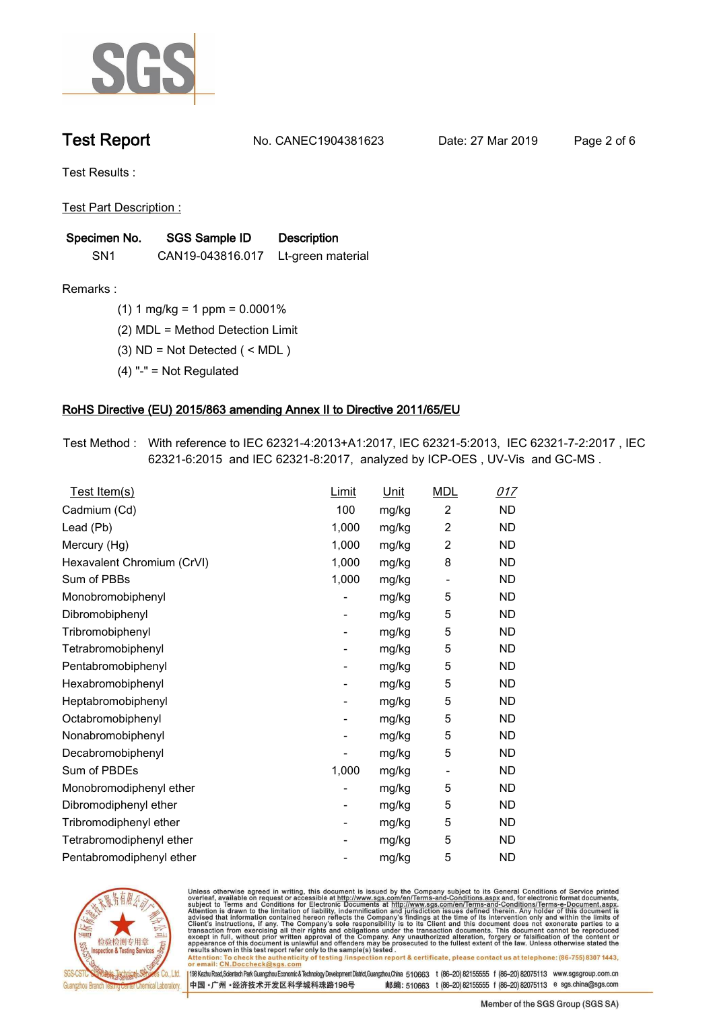

**Test Report. No. CANEC1904381623 Date: 27 Mar 2019. Page 2 of 6.**

**Test Results :.**

**Test Part Description :.**

| Specimen No.    | <b>SGS Sample ID</b>               | <b>Description</b> |  |
|-----------------|------------------------------------|--------------------|--|
| SN <sub>1</sub> | CAN19-043816.017 Lt-green material |                    |  |

**Remarks :.(1) 1 mg/kg = 1 ppm = 0.0001%.**

**(2) MDL = Method Detection Limit.**

**(3) ND = Not Detected ( < MDL ).**

**(4) "-" = Not Regulated.**

### **RoHS Directive (EU) 2015/863 amending Annex II to Directive 2011/65/EU.**

**Test Method :. With reference to IEC 62321-4:2013+A1:2017, IEC 62321-5:2013, IEC 62321-7-2:2017 , IEC 62321-6:2015 and IEC 62321-8:2017, analyzed by ICP-OES , UV-Vis and GC-MS ..**

| Test Item(s)               | Limit                    | Unit  | <b>MDL</b>               | 017       |
|----------------------------|--------------------------|-------|--------------------------|-----------|
| Cadmium (Cd)               | 100                      | mg/kg | $\overline{2}$           | <b>ND</b> |
| Lead (Pb)                  | 1,000                    | mg/kg | $\overline{c}$           | <b>ND</b> |
| Mercury (Hg)               | 1,000                    | mg/kg | 2                        | <b>ND</b> |
| Hexavalent Chromium (CrVI) | 1,000                    | mg/kg | 8                        | <b>ND</b> |
| Sum of PBBs                | 1,000                    | mg/kg | $\overline{\phantom{a}}$ | <b>ND</b> |
| Monobromobiphenyl          |                          | mg/kg | 5                        | <b>ND</b> |
| Dibromobiphenyl            | $\overline{\phantom{a}}$ | mg/kg | 5                        | <b>ND</b> |
| Tribromobiphenyl           | -                        | mg/kg | 5                        | <b>ND</b> |
| Tetrabromobiphenyl         |                          | mg/kg | 5                        | <b>ND</b> |
| Pentabromobiphenyl         | -                        | mg/kg | 5                        | <b>ND</b> |
| Hexabromobiphenyl          |                          | mg/kg | 5                        | <b>ND</b> |
| Heptabromobiphenyl         | -                        | mg/kg | 5                        | <b>ND</b> |
| Octabromobiphenyl          | -                        | mg/kg | 5                        | <b>ND</b> |
| Nonabromobiphenyl          |                          | mg/kg | 5                        | ND        |
| Decabromobiphenyl          |                          | mg/kg | 5                        | <b>ND</b> |
| Sum of PBDEs               | 1,000                    | mg/kg | $\overline{\phantom{a}}$ | <b>ND</b> |
| Monobromodiphenyl ether    |                          | mg/kg | 5                        | <b>ND</b> |
| Dibromodiphenyl ether      | -                        | mg/kg | 5                        | <b>ND</b> |
| Tribromodiphenyl ether     | -                        | mg/kg | 5                        | <b>ND</b> |
| Tetrabromodiphenyl ether   |                          | mg/kg | 5                        | <b>ND</b> |
| Pentabromodiphenyl ether   |                          | mg/kg | 5                        | <b>ND</b> |
|                            |                          |       |                          |           |



Unless otherwise agreed in writing, this document is issued by the Company subject to its General Conditions of Service printed<br>overleaf, available on request or accessible at http://www.sgs.com/en/Terms-and-Conditions.asp

Attention: To check the authenticity of testing /inspection report & certificate, please contact us at telephone: (86-755) 8307 1443,<br>or email: CN.Doccheck@sgs.com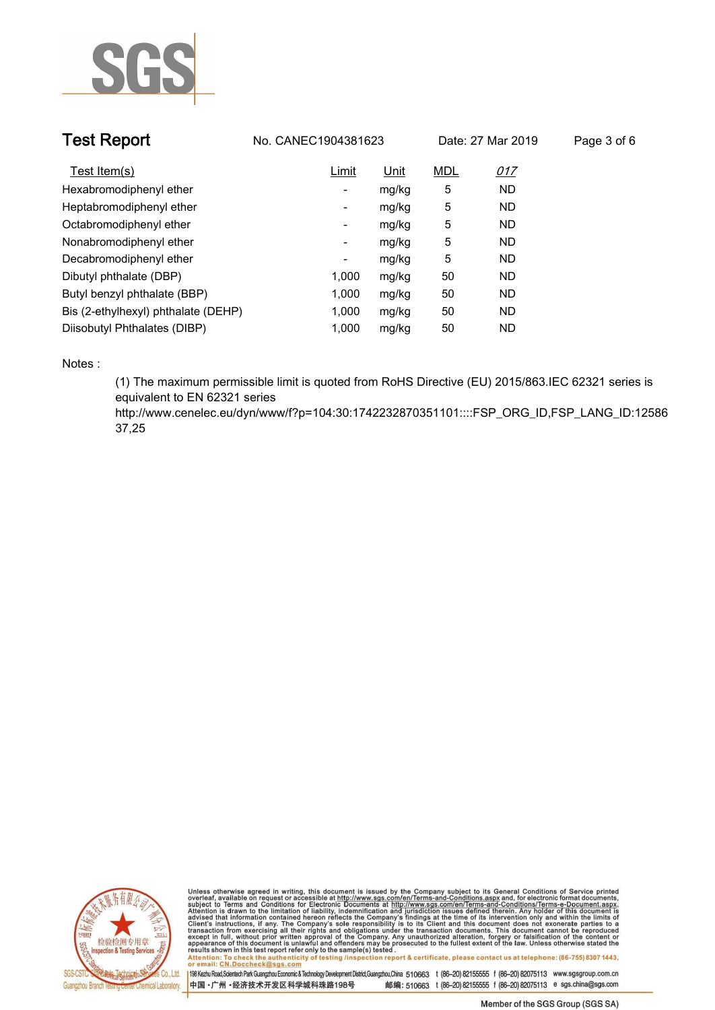

| <b>Test Report</b>                  | No. CANEC1904381623 |       | Date: 27 Mar 2019 |            | Page 3 of 6 |
|-------------------------------------|---------------------|-------|-------------------|------------|-------------|
| Test Item(s)                        | Limit               | Unit  | <b>MDL</b>        | <u>017</u> |             |
| Hexabromodiphenyl ether             | -                   | mg/kg | 5                 | <b>ND</b>  |             |
| Heptabromodiphenyl ether            | ۰                   | mg/kg | 5                 | <b>ND</b>  |             |
| Octabromodiphenyl ether             | ۰                   | mg/kg | 5                 | ND.        |             |
| Nonabromodiphenyl ether             | -                   | mg/kg | 5                 | <b>ND</b>  |             |
| Decabromodiphenyl ether             | ٠                   | mg/kg | 5                 | <b>ND</b>  |             |
| Dibutyl phthalate (DBP)             | 1.000               | mg/kg | 50                | <b>ND</b>  |             |
| Butyl benzyl phthalate (BBP)        | 1.000               | mg/kg | 50                | <b>ND</b>  |             |
| Bis (2-ethylhexyl) phthalate (DEHP) | 1.000               | mg/kg | 50                | <b>ND</b>  |             |
| Diisobutyl Phthalates (DIBP)        | 1.000               | mg/kg | 50                | ND.        |             |

**Notes :.**

**(1) The maximum permissible limit is quoted from RoHS Directive (EU) 2015/863.IEC 62321 series is equivalent to EN 62321 series** 

**http://www.cenelec.eu/dyn/www/f?p=104:30:1742232870351101::::FSP\_ORG\_ID,FSP\_LANG\_ID:12586 37,25.**



Unless otherwise agreed in writing, this document is issued by the Company subject to its General Conditions of Service printed<br>overleaf, available on request or accessible at http://www.sgs.com/en/Terms-and-Conditions.as Manus and The Check the authenticity of testing /inspection report & certificate, please contact us at telephone: (86-755) 8307 1443,

or email: CN.Doccheck@sgs.com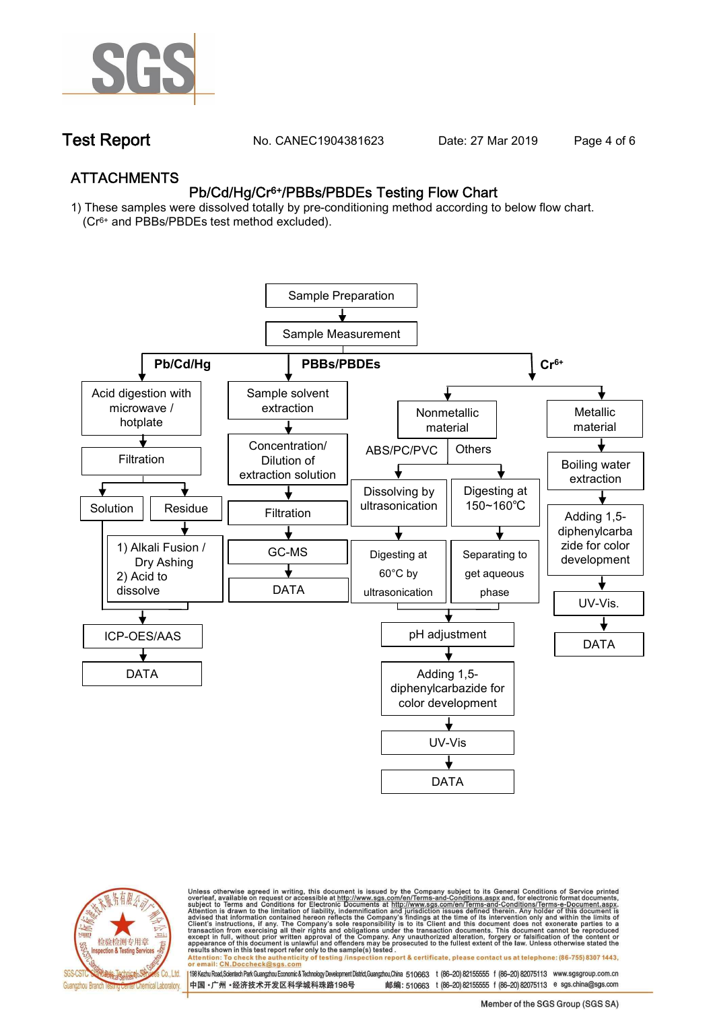

**Test Report. No. CANEC1904381623 Date: 27 Mar 2019. Page 4 of 6.**

## **ATTACHMENTS Pb/Cd/Hg/Cr6+/PBBs/PBDEs Testing Flow Chart**

**1) These samples were dissolved totally by pre-conditioning method according to below flow chart. (Cr6+ and PBBs/PBDEs test method excluded).**





Unless otherwise agreed in writing, this document is issued by the Company subject to its General Conditions of Service printed<br>overleaf, available on request or accessible at http://www.sgs.com/en/Terms-and-Conditions.asp

results shown in this test report refer only to the sample(s) tested .<br>Attention: To check the authenticity of testing /inspection report & certificate, please contact us at telephone: (86-755) 8307 1443,<br>or email: <u>CN.Doc</u>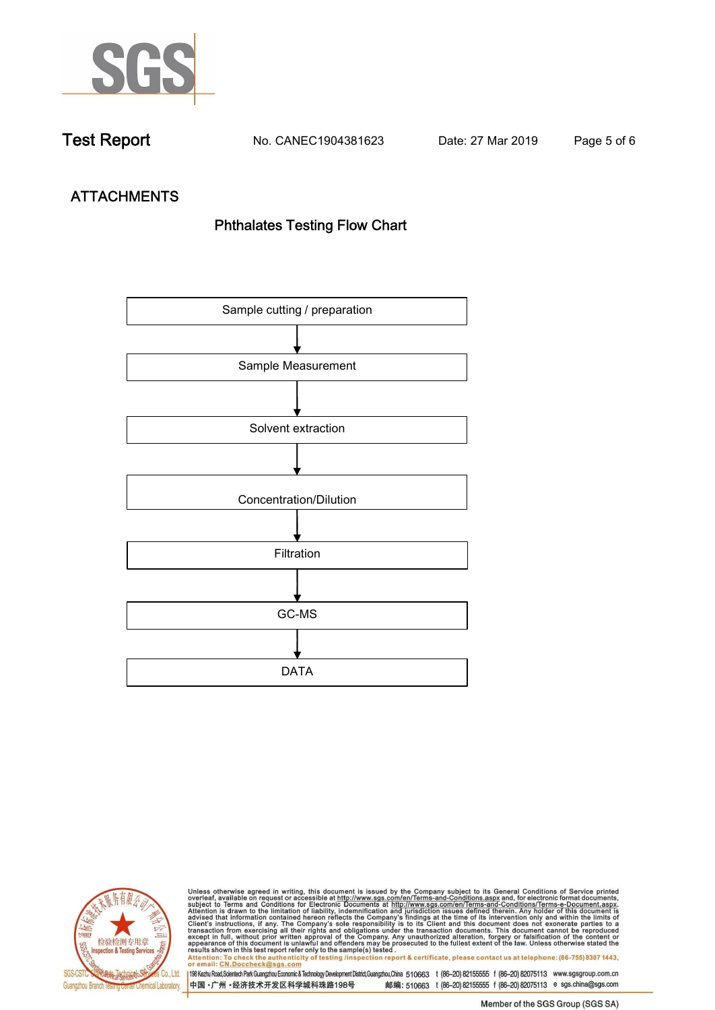

**Test Report. No. CANEC1904381623 Date: 27 Mar 2019. Page 5 of 6.**

# **ATTACHMENTS Phthalates Testing Flow Chart**





Unless otherwise agreed in writing, this document is issued by the Company subject to its General Conditions of Service printed<br>overleaf, available on request or accessible at http://www.sgs.com/en/Terms-and-Conditions.as

results shown in this test report refer only to the sample(s) tested .<br>Attention: To check the authenticity of testing /inspection report & certificate, please contact us at telephone: (86-755) 8307 1443,<br>or email: <u>CN.Doc</u>